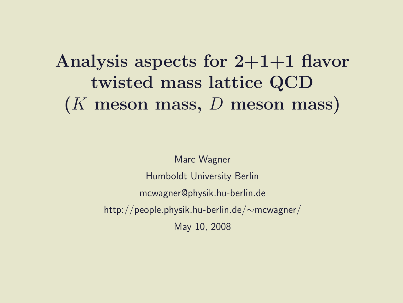### Analysis aspects for  $2+1+1$  flavor twisted mass lattice QCD  $(K$  meson mass,  $D$  meson mass)

Marc Wagner Humboldt University Berlin mcwagner@physik.hu-berlin.de http://people.physik.hu-berlin.de/∼mcwagner/ May 10, 2008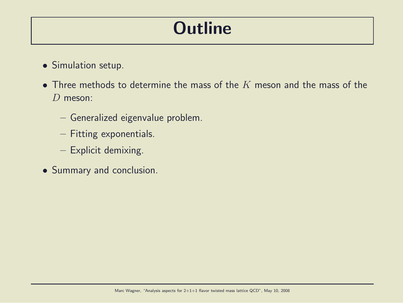### **Outline**

- Simulation setup.
- Three methods to determine the mass of the  $K$  meson and the mass of the D meson:
	- Generalized eigenvalue problem.
	- Fitting exponentials.
	- Explicit demixing.
- Summary and conclusion.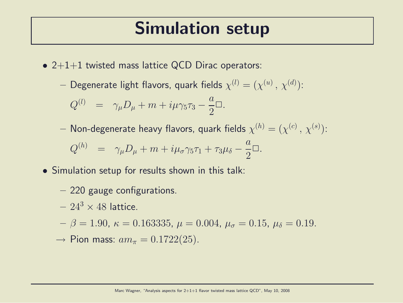#### Simulation setup

- $2+1+1$  twisted mass lattice QCD Dirac operators:
	- $-$  Degenerate light flavors, quark fields  $\chi^{(l)}=(\chi^{(u)}\,,\,\chi^{(d)})$ :

$$
Q^{(l)} = \gamma_{\mu}D_{\mu} + m + i\mu\gamma_5\tau_3 - \frac{a}{2}\Box.
$$

 $-$  Non-degenerate heavy flavors, quark fields  $\chi^{(h)}=(\chi^{(c)}\,,\,\chi^{(s)})$ :

$$
Q^{(h)} = \gamma_{\mu}D_{\mu} + m + i\mu_{\sigma}\gamma_5\tau_1 + \tau_3\mu_{\delta} - \frac{a}{2}\Box.
$$

- Simulation setup for results shown in this talk:
	- 220 gauge configurations.
	- $-24^3 \times 48$  lattice.
	- $\mu \beta = 1.90, \ \kappa = 0.163335, \ \mu = 0.004, \ \mu_{\sigma} = 0.15, \ \mu_{\delta} = 0.19.$
	- $\rightarrow$  Pion mass:  $am_{\pi} = 0.1722(25)$ .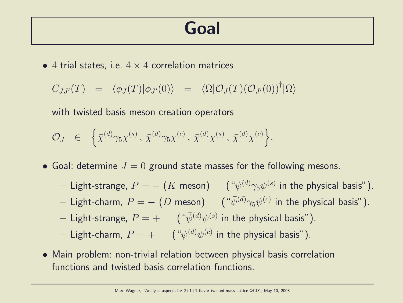#### Goal

• 4 trial states, i.e.  $4 \times 4$  correlation matrices

$$
C_{JJ'}(T) = \langle \phi_J(T) | \phi_{J'}(0) \rangle = \langle \Omega | \mathcal{O}_J(T) (\mathcal{O}_{J'}(0))^\dagger | \Omega \rangle
$$

with twisted basis meson creation operators

$$
\mathcal{O}_J \in \left\{ \bar{\chi}^{(d)} \gamma_5 \chi^{(s)}, \bar{\chi}^{(d)} \gamma_5 \chi^{(c)}, \bar{\chi}^{(d)} \chi^{(s)}, \bar{\chi}^{(d)} \chi^{(c)} \right\}.
$$

• Goal: determine  $J = 0$  ground state masses for the following mesons.

- $-$  Light-strange,  $P = (K$  meson)  $($   $``\bar{\psi}^{(d)}\gamma_5\psi^{(s)}$  in the physical basis").
- $-$  Light-charm,  $P = (D \text{ meson})$   $( \sqrt[u]{\psi^{(d)}} \gamma_5 \psi^{(c)}$  in the physical basis").
- $-$  Light-strange,  $P=+$   $($   $\ ^{``}\bar{\psi}^{(d)}\psi^{(s)}$  in the physical basis").
- $-$  Light-charm,  $P=+$   $($   $\ ^{a}\!\bar{\psi}^{(d)}\psi^{(c)}$  in the physical basis").
- Main problem: non-trivial relation between physical basis correlation functions and twisted basis correlation functions.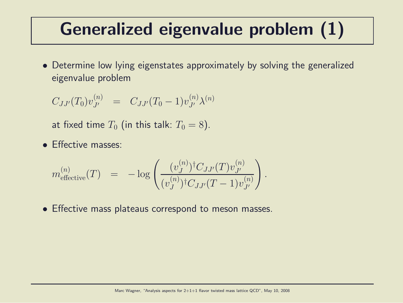### Generalized eigenvalue problem (1)

• Determine low lying eigenstates approximately by solving the generalized eigenvalue problem

$$
C_{JJ'}(T_0)v_{J'}^{(n)} = C_{JJ'}(T_0 - 1)v_{J'}^{(n)}\lambda^{(n)}
$$

at fixed time  $T_0$  (in this talk:  $T_0 = 8$ ).

• Effective masses:

$$
m_{\text{effective}}^{(n)}(T) = -\log\left(\frac{(v_J^{(n)})^\dagger C_{JJ'}(T)v_{J'}^{(n)}}{(v_J^{(n)})^\dagger C_{JJ'}(T-1)v_{J'}^{(n)}}\right)
$$

• Effective mass plateaus correspond to meson masses.

.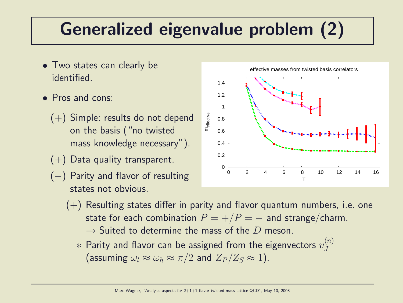## Generalized eigenvalue problem (2)

- Two states can clearly be identified.
- Pros and cons:
	- (+) Simple: results do not depend on the basis ("no twisted mass knowledge necessary").
	- $(+)$  Data quality transparent.
	- (−) Parity and flavor of resulting states not obvious.

effective masses from twisted basis correlators



- $(+)$  Resulting states differ in parity and flavor quantum numbers, i.e. one state for each combination  $P = +/P = -$  and strange/charm.
	- $\rightarrow$  Suited to determine the mass of the D meson.
	- $*$  Parity and flavor can be assigned from the eigenvectors  $v_J^{(n)}$  $\overline{J}$ (assuming  $\omega_l \approx \omega_h \approx \pi/2$  and  $Z_P/Z_S \approx 1$ ).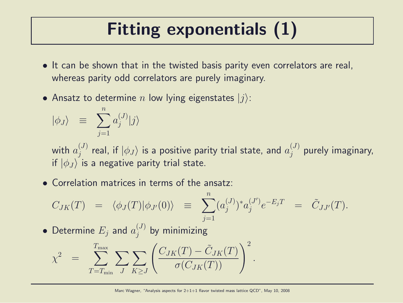# Fitting exponentials (1)

- It can be shown that in the twisted basis parity even correlators are real, whereas parity odd correlators are purely imaginary.
- Ansatz to determine n low lying eigenstates  $|j\rangle$ :

$$
|\phi_J\rangle \equiv \sum_{j=1}^n a_j^{(J)}|j\rangle
$$

with  $a^{(J)}_i$  $j^{(J)}_j$  real, if  $\ket{\phi_J}$  is a positive parity trial state, and  $a_j^{(J)}$  $j^{(3)}_j$  purely imaginary, if  $|\phi_J\rangle$  is a negative parity trial state.

• Correlation matrices in terms of the ansatz:

$$
C_{JK}(T) = \langle \phi_J(T) | \phi_{J'}(0) \rangle \equiv \sum_{j=1}^n (a_j^{(J)})^* a_j^{(J')} e^{-E_j T} = \tilde{C}_{JJ'}(T).
$$

 $\bullet$  Determine  $E_j$  and  $a_j^{(J)}$  $j^{(J)}$  by minimizing

$$
\chi^2 = \sum_{T=T_{\min}}^{T_{\max}} \sum_{J} \sum_{K \ge J} \left( \frac{C_{JK}(T) - \tilde{C}_{JK}(T)}{\sigma(C_{JK}(T))} \right)^2.
$$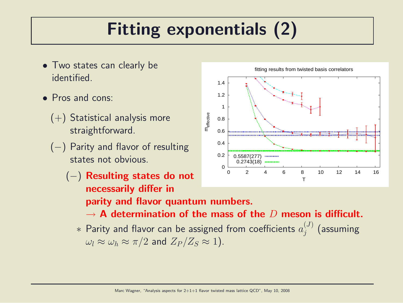# Fitting exponentials (2)

- Two states can clearly be identified.
- Pros and cons:
	- $(+)$  Statistical analysis more straightforward.
	- (−) Parity and flavor of resulting states not obvious.
		- (−) Resulting states do not necessarily differ in parity and flavor quantum numbers.
			- $\rightarrow$  A determination of the mass of the D meson is difficult.
			- $*$  Parity and flavor can be assigned from coefficients  $a_j^{(J)}$  $j^{(J)}$  (assuming  $\omega_l \approx \omega_h \approx \pi/2$  and  $Z_P/Z_S \approx 1$ ).



fitting results from twisted basis correlators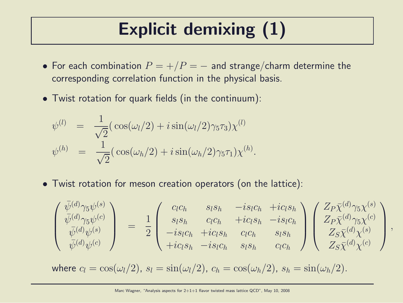## Explicit demixing (1)

- For each combination  $P = +/P = -$  and strange/charm determine the corresponding correlation function in the physical basis.
- Twist rotation for quark fields (in the continuum):

$$
\psi^{(l)} = \frac{1}{\sqrt{2}} (\cos(\omega_l/2) + i \sin(\omega_l/2) \gamma_5 \tau_3) \chi^{(l)} \n\psi^{(h)} = \frac{1}{\sqrt{2}} (\cos(\omega_h/2) + i \sin(\omega_h/2) \gamma_5 \tau_1) \chi^{(h)}.
$$

• Twist rotation for meson creation operators (on the lattice):

$$
\begin{pmatrix}\n\bar{\psi}^{(d)}\gamma_{5}\psi^{(s)} \\
\bar{\psi}^{(d)}\gamma_{5}\psi^{(c)} \\
\bar{\psi}^{(d)}\psi^{(s)} \\
\bar{\psi}^{(d)}\psi^{(c)}\n\end{pmatrix} = \frac{1}{2} \begin{pmatrix}\nc_{l}c_{h} & s_{l}s_{h} & -is_{l}c_{h} + ic_{l}s_{h} \\
s_{l}s_{h} & c_{l}c_{h} & +ic_{l}s_{h} & -is_{l}c_{h} \\
-is_{l}c_{h} & +ic_{l}s_{h} & c_{l}c_{h} & s_{l}s_{h} \\
+ic_{l}s_{h} & -is_{l}c_{h} & s_{l}s_{h} & c_{l}c_{h}\n\end{pmatrix} \begin{pmatrix}\nZ_{P}\bar{\chi}^{(d)}\gamma_{5}\chi^{(s)} \\
Z_{P}\bar{\chi}^{(d)}\gamma_{5}\chi^{(c)} \\
Z_{S}\bar{\chi}^{(d)}\chi^{(s)}\n\end{pmatrix},
$$

where  $c_l = \cos(\omega_l/2)$ ,  $s_l = \sin(\omega_l/2)$ ,  $c_h = \cos(\omega_h/2)$ ,  $s_h = \sin(\omega_h/2)$ .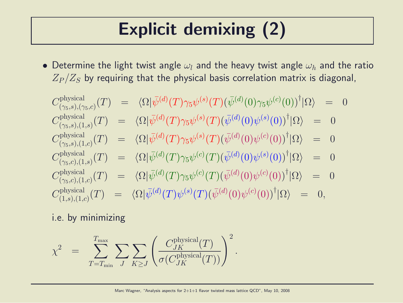# Explicit demixing (2)

• Determine the light twist angle  $\omega_l$  and the heavy twist angle  $\omega_h$  and the ratio  $Z_P/Z_S$  by requiring that the physical basis correlation matrix is diagonal,

$$
C_{(\gamma_5,s),(\gamma_5,c)}^{physical}(T) = \langle \Omega | \bar{\psi}^{(d)}(T) \gamma_5 \psi^{(s)}(T) (\bar{\psi}^{(d)}(0) \gamma_5 \psi^{(c)}(0))^\dagger | \Omega \rangle = 0
$$
  
\n
$$
C_{(\gamma_5,s),(1,s)}^{physical}(T) = \langle \Omega | \bar{\psi}^{(d)}(T) \gamma_5 \psi^{(s)}(T) (\bar{\psi}^{(d)}(0) \psi^{(s)}(0))^\dagger | \Omega \rangle = 0
$$
  
\n
$$
C_{(\gamma_5,s),(1,c)}^{physical}(T) = \langle \Omega | \bar{\psi}^{(d)}(T) \gamma_5 \psi^{(s)}(T) (\bar{\psi}^{(d)}(0) \psi^{(c)}(0))^\dagger | \Omega \rangle = 0
$$
  
\n
$$
C_{(\gamma_5,c),(1,s)}^{physical}(T) = \langle \Omega | \bar{\psi}^{(d)}(T) \gamma_5 \psi^{(c)}(T) (\bar{\psi}^{(d)}(0) \psi^{(s)}(0))^\dagger | \Omega \rangle = 0
$$
  
\n
$$
C_{(\gamma_5,c),(1,c)}^{physical}(T) = \langle \Omega | \bar{\psi}^{(d)}(T) \gamma_5 \psi^{(c)}(T) (\bar{\psi}^{(d)}(0) \psi^{(c)}(0))^\dagger | \Omega \rangle = 0
$$
  
\n
$$
C_{(1,s),(1,c)}^{physical}(T) = \langle \Omega | \bar{\psi}^{(d)}(T) \psi^{(s)}(T) (\bar{\psi}^{(d)}(0) \psi^{(c)}(0))^\dagger | \Omega \rangle = 0,
$$

#### i.e. by minimizing

$$
\chi^2 = \sum_{T=T_{\min}}^{T_{\max}} \sum_{J} \sum_{K \ge J} \left( \frac{C_{JK}^{\text{physical}}(T)}{\sigma(C_{JK}^{\text{physical}}(T))} \right)^2.
$$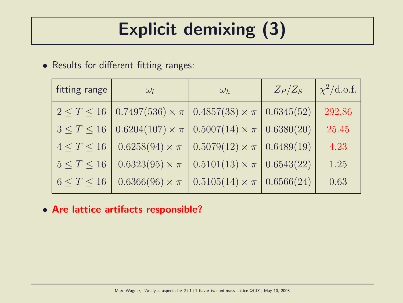# Explicit demixing (3)

#### • Results for different fitting ranges:

| fitting range      | $\omega_l$                                                                                             | $\omega_h$                                           | $Z_P/Z_S$ | $\chi^2/\text{d.o.f.}$ |
|--------------------|--------------------------------------------------------------------------------------------------------|------------------------------------------------------|-----------|------------------------|
|                    | $2 \leq T \leq 16$   0.7497(536) $\times \pi$   0.4857(38) $\times \pi$   0.6345(52)                   |                                                      |           | 292.86                 |
|                    | $3 \le T \le 16 \left[ 0.6204(107) \times \pi \right] 0.5007(14) \times \pi \left[ 0.6380(20) \right]$ |                                                      |           | 25.45                  |
| $4 \leq T \leq 16$ | $0.6258(94) \times \pi$ $\mid 0.5079(12) \times \pi \mid 0.6489(19)$                                   |                                                      |           | 4.23                   |
| $5 \leq T \leq 16$ | $0.6323(95) \times \pi$                                                                                | $0.5101(13) \times \pi$ 0.6543(22)                   |           | 1.25                   |
| $6 \leq T \leq 16$ | $0.6366(96) \times \pi$                                                                                | $\vert 0.5105(14) \times \pi \vert 0.6566(24) \vert$ |           | 0.63                   |

• Are lattice artifacts responsible?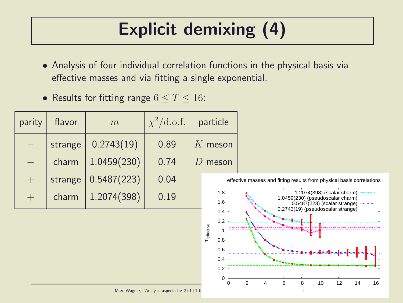# Explicit demixing (4)

- Analysis of four individual correlation functions in the physical basis via effective masses and via fitting a single exponential.
- Results for fitting range  $6 \le T \le 16$ :

| parity | flavor  | m           | $\chi^2/\text{d.o.f.}$ | particle   |
|--------|---------|-------------|------------------------|------------|
|        | strange | 0.2743(19)  | 0.89                   | $K$ meson  |
|        | charm   | 1.0459(230) | 0.74                   | $D$ meson  |
| $+$    | strange | 0.5487(223) | 0.04                   | eff        |
|        | charm   | 1.2074(398) | 0.19                   | 1.8<br>1.6 |

ffective masses and fitting results from physical basis correlations



Marc Wagner, "Analysis aspects for  $2+1+1$  fl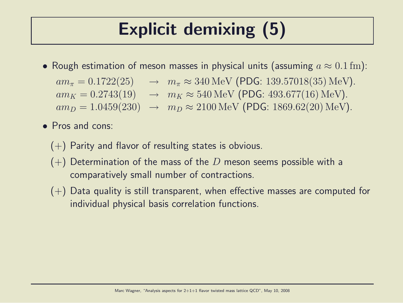# Explicit demixing (5)

• Rough estimation of meson masses in physical units (assuming  $a \approx 0.1$  fm):

 $am_{\pi} = 0.1722(25) \rightarrow m_{\pi} \approx 340 \,\text{MeV}$  (PDG: 139.57018(35) MeV).  $am_K = 0.2743(19) \rightarrow m_K \approx 540 \,\text{MeV}$  (PDG: 493.677(16) MeV).  $am_D = 1.0459(230) \rightarrow m_D \approx 2100 \,\text{MeV}$  (PDG: 1869.62(20) MeV).

- Pros and cons:
	- $(+)$  Parity and flavor of resulting states is obvious.
	- $(+)$  Determination of the mass of the D meson seems possible with a comparatively small number of contractions.
	- $(+)$  Data quality is still transparent, when effective masses are computed for individual physical basis correlation functions.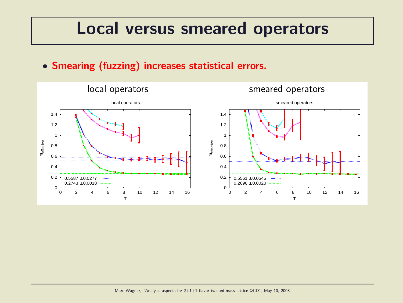#### Local versus smeared operators

• Smearing (fuzzing) increases statistical errors.